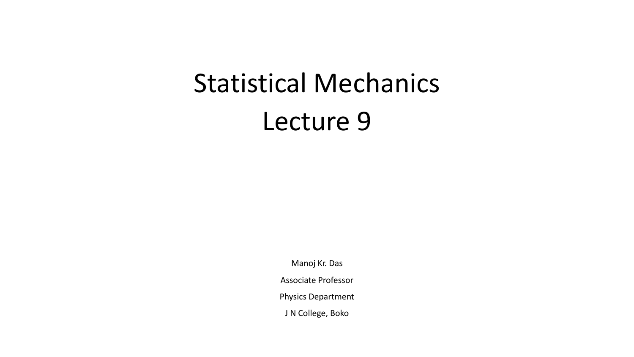# Statistical Mechanics Lecture 9

Manoj Kr. Das

Associate Professor

Physics Department

J N College, Boko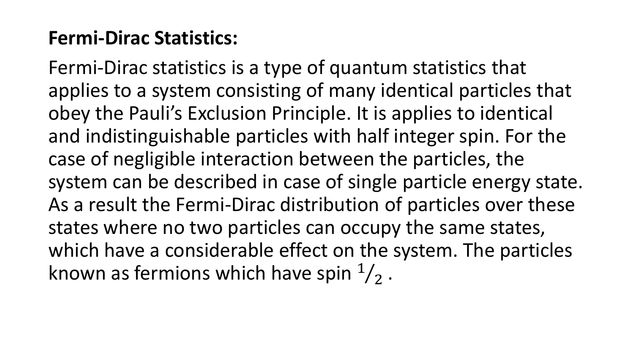## **Fermi-Dirac Statistics:**

Fermi-Dirac statistics is a type of quantum statistics that applies to a system consisting of many identical particles that obey the Pauli's Exclusion Principle. It is applies to identical and indistinguishable particles with half integer spin. For the case of negligible interaction between the particles, the system can be described in case of single particle energy state. As a result the Fermi-Dirac distribution of particles over these states where no two particles can occupy the same states, which have a considerable effect on the system. The particles known as fermions which have spin  $\frac{1}{2}$ .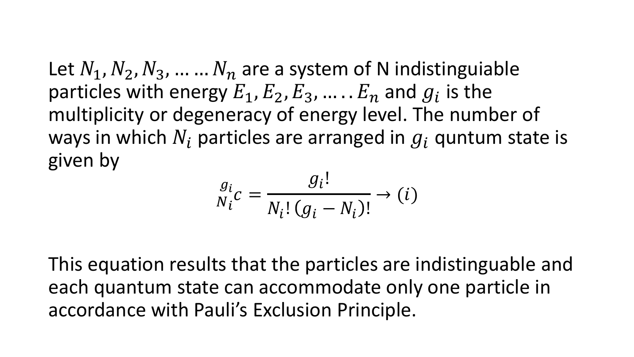Let  $N_1$ ,  $N_2$ ,  $N_3$ , ... ...  $N_n$  are a system of N indistinguiable particles with energy  $E_1, E_2, E_3, \dots$ .  $E_n$  and  $g_i$  is the multiplicity or degeneracy of energy level. The number of ways in which  $N_i$  particles are arranged in  $q_i$  quntum state is given by

$$
\frac{g_i}{N_i c} = \frac{g_i!}{N_i! (g_i - N_i)!} \rightarrow (i)
$$

This equation results that the particles are indistinguable and each quantum state can accommodate only one particle in accordance with Pauli's Exclusion Principle.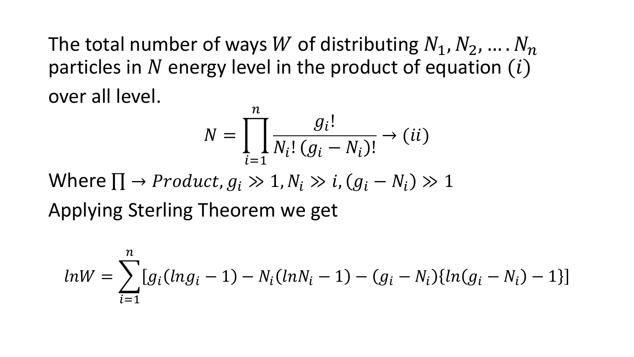The total number of ways W of distributing  $N_1, N_2, ..., N_n$ particles in N energy level in the product of equation  $(i)$ over all level.  $\sim$ 

$$
N = \prod_{i=1}^{n} \frac{g_i!}{N_i! (g_i - N_i)!} \to (ii)
$$

Where  $\Pi \rightarrow Product, g_i \gg 1, N_i \gg i, (g_i - N_i) \gg 1$ Applying Sterling Theorem we get

$$
ln W = \sum_{i=1}^{n} [g_i(lng_i - 1) - N_i(lnN_i - 1) - (g_i - N_i)\{ln(g_i - N_i) - 1\}]
$$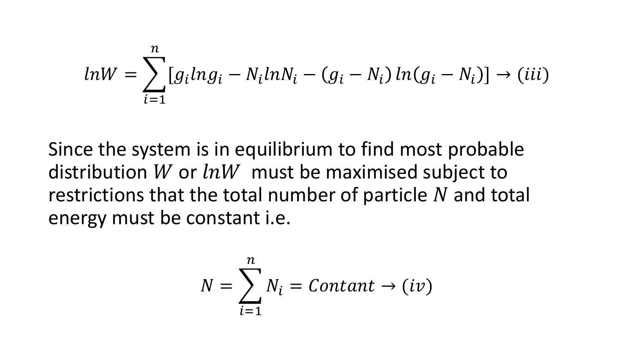$$
ln W = \sum_{i=1}^{n} [g_i ln g_i - N_i ln N_i - (g_i - N_i) ln (g_i - N_i)] \to (iii)
$$

Since the system is in equilibrium to find most probable distribution W or  $lnW$  must be maximised subject to restrictions that the total number of particle  $N$  and total energy must be constant i.e.

$$
N = \sum_{i=1}^{n} N_i = \text{Constant} \rightarrow (iv)
$$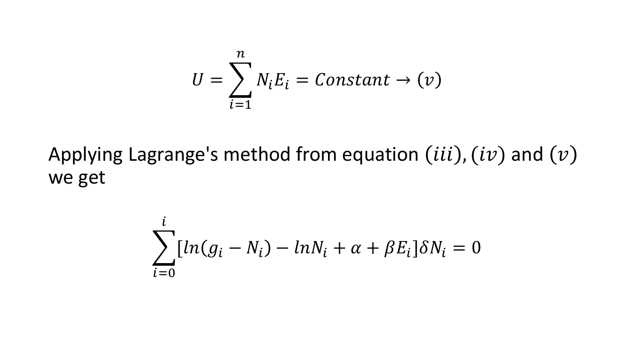$$
U = \sum_{i=1}^{n} N_i E_i = Constant \rightarrow (v)
$$

Applying Lagrange's method from equation  $(iii)$ ,  $(iv)$  and  $(v)$ we get

$$
\sum_{i=0}^{i} [ln(g_i - N_i) - lnN_i + \alpha + \beta E_i] \delta N_i = 0
$$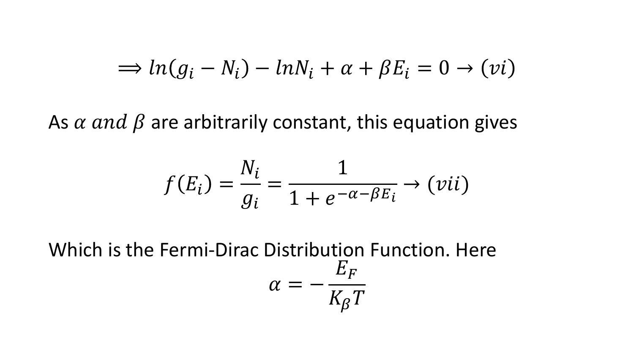$$
\Rightarrow ln(g_i - N_i) - lnN_i + \alpha + \beta E_i = 0 \rightarrow (vi)
$$

As  $\alpha$  and  $\beta$  are arbitrarily constant, this equation gives

$$
f(E_i) = \frac{N_i}{g_i} = \frac{1}{1 + e^{-\alpha - \beta E_i}} \rightarrow (vii)
$$

Which is the Fermi-Dirac Distribution Function. Here  $\alpha = E_F$  $K_{\beta}T$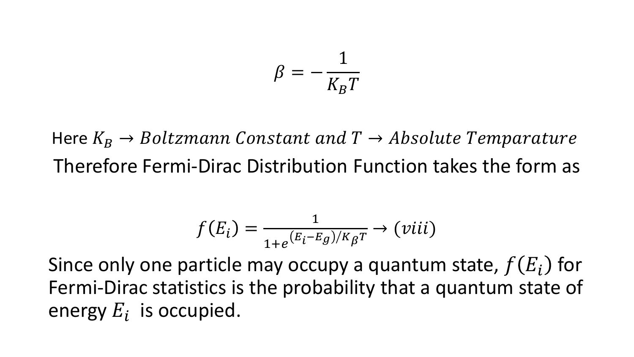$$
\beta = -\frac{1}{K_B T}
$$

Here  $K_R \rightarrow Boltzmann$  Constant and  $T \rightarrow Absolute$  Temparature Therefore Fermi-Dirac Distribution Function takes the form as

$$
f(E_i) = \frac{1}{1 + e^{(E_i - E_g)/K_{\beta}T}} \rightarrow (viii)
$$

Since only one particle may occupy a quantum state,  $f(E_i)$  for Fermi-Dirac statistics is the probability that a quantum state of energy  $E_i$  is occupied.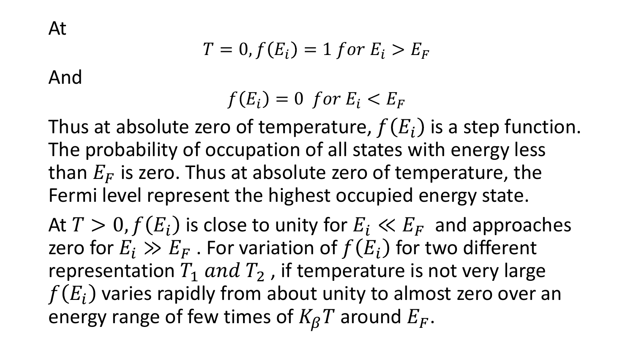$$
T=0, f(E_i)=1 \text{ for } E_i>E_F
$$

And

$$
f(E_i) = 0 \text{ for } E_i < E_F
$$

Thus at absolute zero of temperature,  $f(E_i)$  is a step function. The probability of occupation of all states with energy less than  $E_F$  is zero. Thus at absolute zero of temperature, the Fermi level represent the highest occupied energy state.

At  $T > 0$ ,  $f(E_i)$  is close to unity for  $E_i \ll E_F$  and approaches zero for  $E_i \gg E_F$  . For variation of  $f(E_i)$  for two different representation  $T_1$  and  $T_2$ , if temperature is not very large  $f(E_i)$  varies rapidly from about unity to almost zero over an energy range of few times of  $K_{\beta}T$  around  $E_F$ .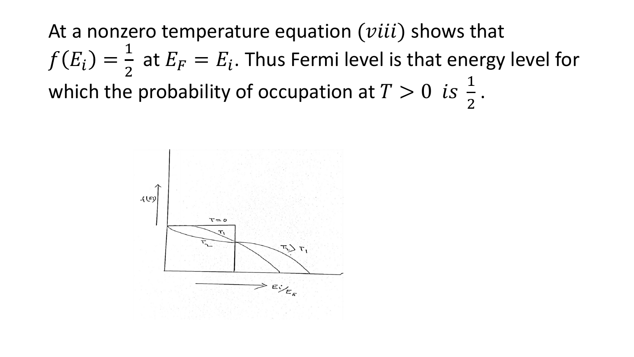At a nonzero temperature equation  $(viii)$  shows that  $f(E_i) =$ 1 2 at  $E_F = E_i$ . Thus Fermi level is that energy level for which the probability of occupation at  $T > 0$  is  $\frac{1}{2}$ 2 .

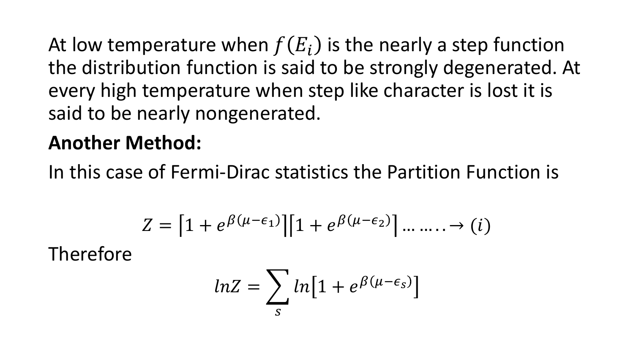At low temperature when  $f(E_i)$  is the nearly a step function the distribution function is said to be strongly degenerated. At every high temperature when step like character is lost it is said to be nearly nongenerated.

#### **Another Method:**

In this case of Fermi-Dirac statistics the Partition Function is

$$
Z = \left[1 + e^{\beta(\mu - \epsilon_1)}\right]\left[1 + e^{\beta(\mu - \epsilon_2)}\right] \dots \dots \to (i)
$$

Therefore

$$
ln Z = \sum_{s} ln [1 + e^{\beta(\mu - \epsilon_{s})}]
$$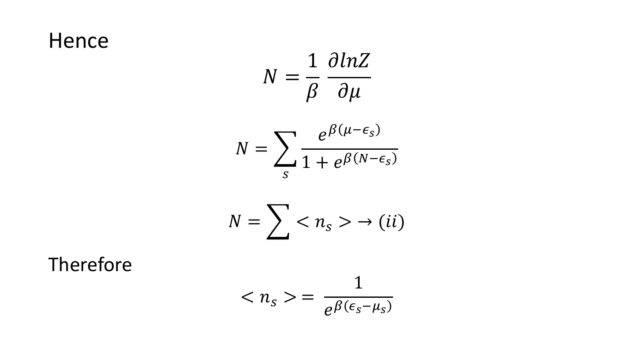## Hence

$$
N = \frac{1}{\beta} \frac{\partial \ln Z}{\partial \mu}
$$

$$
N = \sum_{s} \frac{e^{\beta(\mu - \epsilon_s)}}{1 + e^{\beta(N - \epsilon_s)}}
$$

$$
N=\sum\langle n_{s}\rangle\rightarrow(ii)
$$

Therefore

$$
\langle n_{s}\rangle =\frac{1}{e^{\beta(\epsilon_{s}-\mu_{s})}}
$$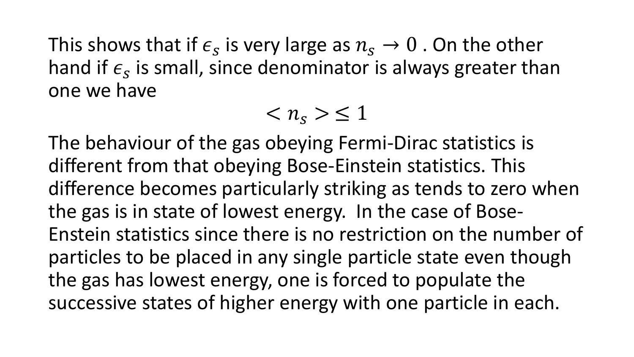This shows that if  $\epsilon_{s}$  is very large as  $n_{s}\rightarrow 0$  . On the other hand if  $\epsilon_{s}$  is small, since denominator is always greater than one we have

 $\langle n_{s} \rangle \leq 1$ 

The behaviour of the gas obeying Fermi-Dirac statistics is different from that obeying Bose-Einstein statistics. This difference becomes particularly striking as tends to zero when the gas is in state of lowest energy. In the case of Bose-Enstein statistics since there is no restriction on the number of particles to be placed in any single particle state even though the gas has lowest energy, one is forced to populate the successive states of higher energy with one particle in each.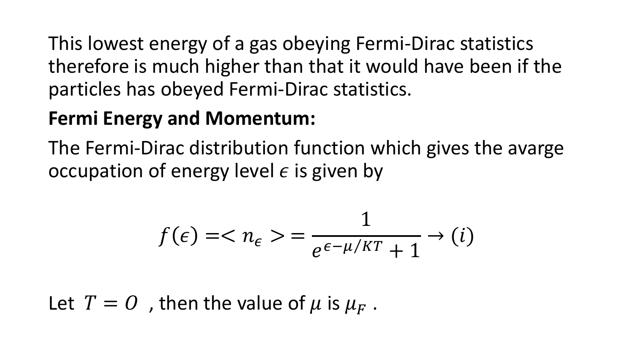This lowest energy of a gas obeying Fermi-Dirac statistics therefore is much higher than that it would have been if the particles has obeyed Fermi-Dirac statistics.

#### **Fermi Energy and Momentum:**

The Fermi-Dirac distribution function which gives the avarge occupation of energy level  $\epsilon$  is given by

$$
f(\epsilon) = \langle n_{\epsilon} \rangle = \frac{1}{e^{\epsilon - \mu/KT} + 1} \to (i)
$$

Let  $T = 0$ , then the value of  $\mu$  is  $\mu_F$ .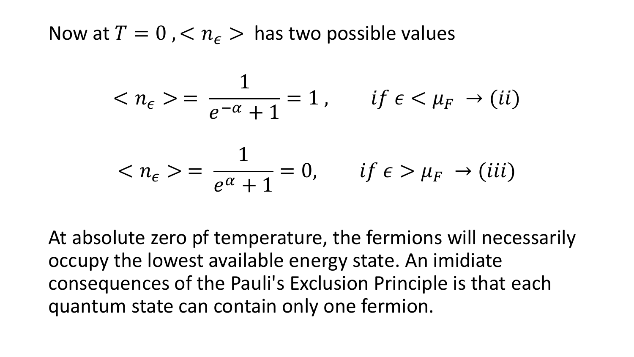Now at  $T = 0$ ,  $\lt n_{\epsilon}$   $>$  has two possible values

$$
\langle n_{\epsilon} \rangle = \frac{1}{e^{-\alpha} + 1} = 1, \quad \text{if } \epsilon \langle \mu_F \rangle \setminus (ii)
$$

$$
\langle n_{\epsilon} \rangle = \frac{1}{e^{\alpha} + 1} = 0, \quad \text{if } \epsilon \rangle \mu_F \to (iii)
$$

At absolute zero pf temperature, the fermions will necessarily occupy the lowest available energy state. An imidiate consequences of the Pauli's Exclusion Principle is that each quantum state can contain only one fermion.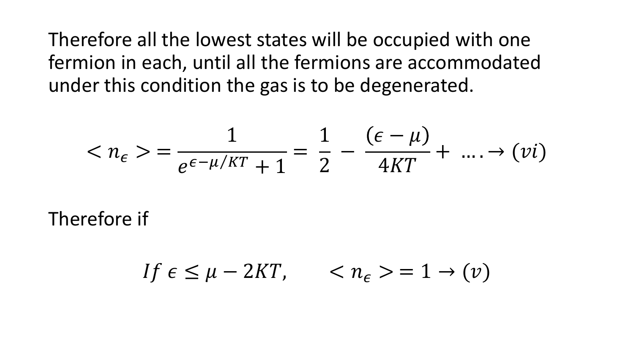Therefore all the lowest states will be occupied with one fermion in each, until all the fermions are accommodated under this condition the gas is to be degenerated.

$$
\langle n_{\epsilon}\rangle = \frac{1}{e^{\epsilon-\mu/KT}+1} = \frac{1}{2} - \frac{(\epsilon-\mu)}{4KT} + \dots \rightarrow (vi)
$$

Therefore if

$$
If \epsilon \le \mu - 2KT, \qquad \langle n_{\epsilon} \rangle = 1 \to (\nu)
$$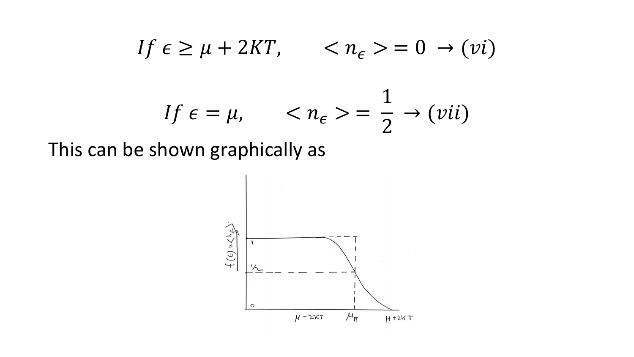$$
If \epsilon \ge \mu + 2KT, \qquad \langle n_{\epsilon} \rangle = 0 \to (vi)
$$
  

$$
If \epsilon = \mu, \qquad \langle n_{\epsilon} \rangle = \frac{1}{2} \to (vii)
$$

This can be shown graphically as

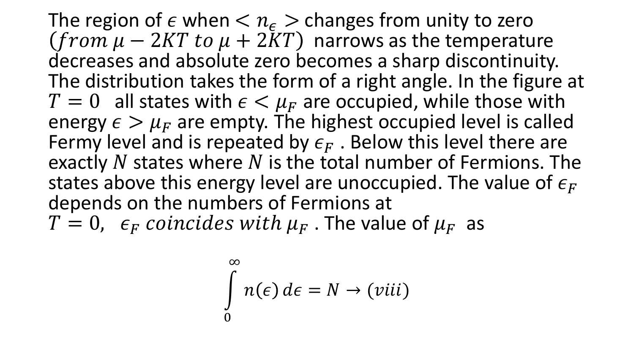The region of  $\epsilon$  when  $\langle n_{\epsilon}\rangle$  changes from unity to zero  $(from \mu - 2KT \ to \ \mu + 2KT)$  narrows as the temperature decreases and absolute zero becomes a sharp discontinuity. The distribution takes the form of a right angle. In the figure at  $T = 0$  all states with  $\epsilon < \mu_F$  are occupied, while those with energy  $\epsilon > \mu_F$  are empty. The highest occupied level is called Fermy level and is repeated by  $\epsilon_F$ . Below this level there are exactly  $N$  states where  $N$  is the total number of Fermions. The states above this energy level are unoccupied. The value of  $\epsilon_F$ depends on the numbers of Fermions at  $T = 0$ ,  $\epsilon_F$  coincides with  $\mu_F$ . The value of  $\mu_F$  as

$$
\int_{0}^{\infty} n(\epsilon) d\epsilon = N \rightarrow (viii)
$$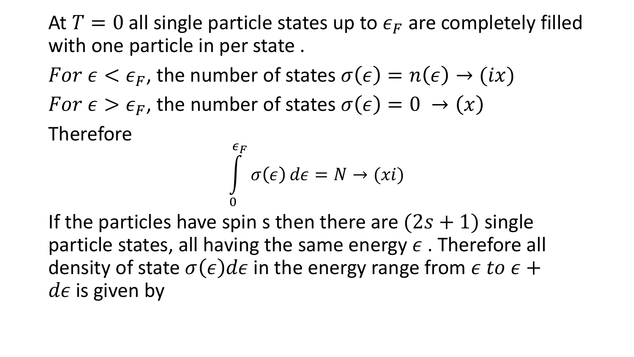At  $T = 0$  all single particle states up to  $\epsilon_F$  are completely filled with one particle in per state .

For  $\epsilon < \epsilon_F$ , the number of states  $\sigma(\epsilon) = n(\epsilon) \rightarrow (ix)$  $For \epsilon > \epsilon_F$ , the number of states  $\sigma(\epsilon) = 0 \rightarrow (x)$ Therefore

$$
\int_{0}^{\epsilon_F} \sigma(\epsilon) d\epsilon = N \to (xi)
$$

If the particles have spin s then there are  $(2s + 1)$  single particle states, all having the same energy  $\epsilon$ . Therefore all density of state  $\sigma(\epsilon)d\epsilon$  in the energy range from  $\epsilon$  to  $\epsilon$  +  $d\epsilon$  is given by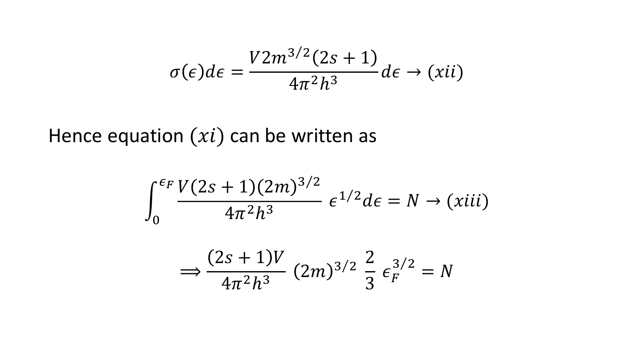$$
\sigma(\epsilon)d\epsilon = \frac{V2m^{3/2}(2s+1)}{4\pi^2h^3}d\epsilon \to (xii)
$$

Hence equation  $(x_i)$  can be written as

$$
\int_0^{\epsilon_F} \frac{V(2s+1)(2m)^{3/2}}{4\pi^2 h^3} \, \epsilon^{1/2} d\epsilon = N \to (xiii)
$$

$$
\Rightarrow \frac{(2s+1)V}{4\pi^2h^3} (2m)^{3/2} \frac{2}{3} \epsilon_F^{3/2} = N
$$